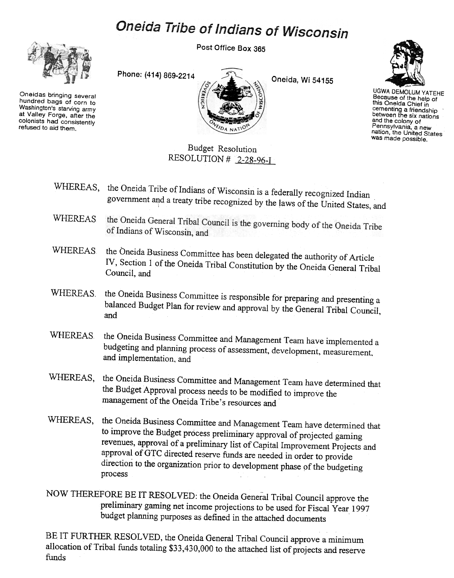## Oneida Tribe of Indians of Wisconsin

Post Office Box 365



Oneidas bringing several hundred bags of corn to Washington's starving army at Valley Forge. after the colonists had consistently refused to aid them.

Phone: (414) 869-2214



Oneida, Wi 54155



UGWA DEMOLUM YATEHE Because of the help of this Oneida Chief in cementing a friendship between the six nations and the colony of Pennsylvania, a new nation, the United States was made possible.

Budget Resolution RESOLUTION # 2-28-96-I

- WHEREAS, the Oneida Tribe of Indians of Wisconsin is a federally recognized Indian government and a treaty tribe recognized by the laws of the United States, and
- the Oneida General Tribal Council is the governing body of the Oneida Tribe<br>of Indians of Wisconsin and WHEREAS of Indians of Wisconsin, and
- WHEREAS the Oneida Business Committee has been delegated the authority of Article IV, Section I of the Oneida Tribal Constitution by the Oneida General Tribal Council, and
- WHEREAS. the Oneida Business Committee is responsible for preparing and presenting a balanced Budget Plan for review and approval by the General Tribal Council, and
- WHEREAS the Oneida Business Committee and Management Team have implemented a budgeting and planning process of assessment, development, measurement, and implementation, and
- WHEREAS, the Oneida Business Committee and Management Team have determined that the Budget Approval process needs to be modified to improve the management of the Oneida Tribe's resources and
- WHEREAS, the Oneida Business Committee and Management Team have determined that to improve the Budget process preliminary approval of projected gaming revenues, approval of a preliminary list of Capital Improvement Projects and approval ofGTC directed reserve funds are needed in order to provide direction to the organization prior to development phase of the budgeting process
- NOW THEREFORE BE IT RESOLVED: the Oneida General Tribal Council approve the preliminary gaming net income projections to be used for Fiscal Year 1997 budget planning purposes as defined in the attached documents

BE IT FURTHER RESOLVED, the Oneida General Tribal Council approve a minimum allocation of Tribal funds totaling \$33,430,000 to the attached list of projects and reserve funds